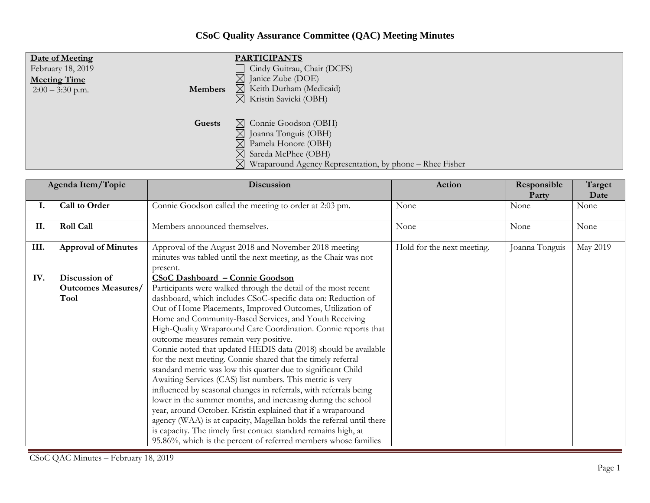## **CSoC Quality Assurance Committee (QAC) Meeting Minutes**

| Date of Meeting     | <b>PARTICIPANTS</b>                                                                                                                                                                                                |
|---------------------|--------------------------------------------------------------------------------------------------------------------------------------------------------------------------------------------------------------------|
| February 18, 2019   | Cindy Guitrau, Chair (DCFS)                                                                                                                                                                                        |
| <b>Meeting Time</b> | $\boxtimes$ Janice Zube (DOE)                                                                                                                                                                                      |
| Members             | $\boxtimes$ Keith Durham (Medicaid)                                                                                                                                                                                |
| $2:00 - 3:30$ p.m.  | $\boxtimes$ Kristin Savicki (OBH)                                                                                                                                                                                  |
| Guests              | $\boxtimes$ Connie Goodson (OBH)<br>$\boxtimes$ Joanna Tonguis (OBH)<br>$\boxtimes$ Pamela Honore (OBH)<br>$\boxtimes$ Sareda McPhee (OBH)<br>$\boxtimes$ Wraparound Agency Representation, by phone – Rhee Fisher |

| Agenda Item/Topic |                            | Discussion                                                                                                                           | Action                     | Responsible<br>Party | Target<br>Date |
|-------------------|----------------------------|--------------------------------------------------------------------------------------------------------------------------------------|----------------------------|----------------------|----------------|
| 1.                | Call to Order              | Connie Goodson called the meeting to order at 2:03 pm.                                                                               | None                       | None                 | None           |
| II.               | <b>Roll Call</b>           | Members announced themselves.                                                                                                        | None                       | None                 | None           |
| III.              | <b>Approval of Minutes</b> | Approval of the August 2018 and November 2018 meeting<br>minutes was tabled until the next meeting, as the Chair was not<br>present. | Hold for the next meeting. | Joanna Tonguis       | May 2019       |
| IV.               | Discussion of              | <b>CSoC Dashboard - Connie Goodson</b>                                                                                               |                            |                      |                |
|                   | <b>Outcomes Measures/</b>  | Participants were walked through the detail of the most recent                                                                       |                            |                      |                |
|                   | Tool                       | dashboard, which includes CSoC-specific data on: Reduction of                                                                        |                            |                      |                |
|                   |                            | Out of Home Placements, Improved Outcomes, Utilization of                                                                            |                            |                      |                |
|                   |                            | Home and Community-Based Services, and Youth Receiving                                                                               |                            |                      |                |
|                   |                            | High-Quality Wraparound Care Coordination. Connie reports that                                                                       |                            |                      |                |
|                   |                            | outcome measures remain very positive.                                                                                               |                            |                      |                |
|                   |                            | Connie noted that updated HEDIS data (2018) should be available                                                                      |                            |                      |                |
|                   |                            | for the next meeting. Connie shared that the timely referral                                                                         |                            |                      |                |
|                   |                            | standard metric was low this quarter due to significant Child                                                                        |                            |                      |                |
|                   |                            | Awaiting Services (CAS) list numbers. This metric is very                                                                            |                            |                      |                |
|                   |                            | influenced by seasonal changes in referrals, with referrals being                                                                    |                            |                      |                |
|                   |                            | lower in the summer months, and increasing during the school                                                                         |                            |                      |                |
|                   |                            | year, around October. Kristin explained that if a wraparound                                                                         |                            |                      |                |
|                   |                            | agency (WAA) is at capacity, Magellan holds the referral until there                                                                 |                            |                      |                |
|                   |                            | is capacity. The timely first contact standard remains high, at                                                                      |                            |                      |                |
|                   |                            | 95.86%, which is the percent of referred members whose families                                                                      |                            |                      |                |